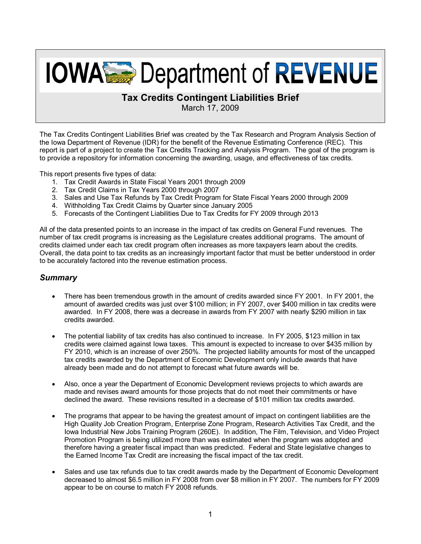# **IOWAS Department of REVENUE**

### **Tax Credits Contingent Liabilities Brief**

March 17, 2009

The Tax Credits Contingent Liabilities Brief was created by the Tax Research and Program Analysis Section of the Iowa Department of Revenue (IDR) for the benefit of the Revenue Estimating Conference (REC). This report is part of a project to create the Tax Credits Tracking and Analysis Program. The goal of the program is to provide a repository for information concerning the awarding, usage, and effectiveness of tax credits.

This report presents five types of data:

- 1. Tax Credit Awards in State Fiscal Years 2001 through 2009
- 2. Tax Credit Claims in Tax Years 2000 through 2007
- 3. Sales and Use Tax Refunds by Tax Credit Program for State Fiscal Years 2000 through 2009
- 4. Withholding Tax Credit Claims by Quarter since January 2005
- 5. Forecasts of the Contingent Liabilities Due to Tax Credits for FY 2009 through 2013

All of the data presented points to an increase in the impact of tax credits on General Fund revenues. The number of tax credit programs is increasing as the Legislature creates additional programs. The amount of credits claimed under each tax credit program often increases as more taxpayers learn about the credits. Overall, the data point to tax credits as an increasingly important factor that must be better understood in order to be accurately factored into the revenue estimation process.

#### *Summary*

- There has been tremendous growth in the amount of credits awarded since FY 2001. In FY 2001, the amount of awarded credits was just over \$100 million; in FY 2007, over \$400 million in tax credits were awarded. In FY 2008, there was a decrease in awards from FY 2007 with nearly \$290 million in tax credits awarded.
- The potential liability of tax credits has also continued to increase. In FY 2005, \$123 million in tax credits were claimed against Iowa taxes. This amount is expected to increase to over \$435 million by FY 2010, which is an increase of over 250%. The projected liability amounts for most of the uncapped tax credits awarded by the Department of Economic Development only include awards that have already been made and do not attempt to forecast what future awards will be.
- Also, once a year the Department of Economic Development reviews projects to which awards are made and revises award amounts for those projects that do not meet their commitments or have declined the award. These revisions resulted in a decrease of \$101 million tax credits awarded.
- The programs that appear to be having the greatest amount of impact on contingent liabilities are the High Quality Job Creation Program, Enterprise Zone Program, Research Activities Tax Credit, and the Iowa Industrial New Jobs Training Program (260E). In addition, The Film, Television, and Video Project Promotion Program is being utilized more than was estimated when the program was adopted and therefore having a greater fiscal impact than was predicted. Federal and State legislative changes to the Earned Income Tax Credit are increasing the fiscal impact of the tax credit.
- Sales and use tax refunds due to tax credit awards made by the Department of Economic Development decreased to almost \$6.5 million in FY 2008 from over \$8 million in FY 2007. The numbers for FY 2009 appear to be on course to match FY 2008 refunds.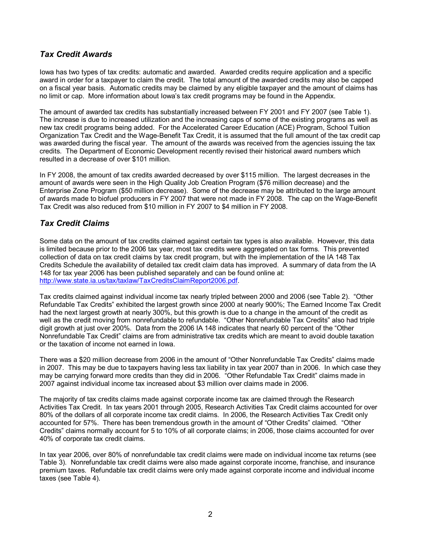#### *Tax Credit Awards*

Iowa has two types of tax credits: automatic and awarded. Awarded credits require application and a specific award in order for a taxpayer to claim the credit. The total amount of the awarded credits may also be capped on a fiscal year basis. Automatic credits may be claimed by any eligible taxpayer and the amount of claims has no limit or cap. More information about Iowa's tax credit programs may be found in the Appendix.

The amount of awarded tax credits has substantially increased between FY 2001 and FY 2007 (see Table 1). The increase is due to increased utilization and the increasing caps of some of the existing programs as well as new tax credit programs being added. For the Accelerated Career Education (ACE) Program, School Tuition Organization Tax Credit and the Wage-Benefit Tax Credit, it is assumed that the full amount of the tax credit cap was awarded during the fiscal year. The amount of the awards was received from the agencies issuing the tax credits. The Department of Economic Development recently revised their historical award numbers which resulted in a decrease of over \$101 million.

In FY 2008, the amount of tax credits awarded decreased by over \$115 million. The largest decreases in the amount of awards were seen in the High Quality Job Creation Program (\$76 million decrease) and the Enterprise Zone Program (\$50 million decrease). Some of the decrease may be attributed to the large amount of awards made to biofuel producers in FY 2007 that were not made in FY 2008. The cap on the Wage-Benefit Tax Credit was also reduced from \$10 million in FY 2007 to \$4 million in FY 2008.

#### *Tax Credit Claims*

Some data on the amount of tax credits claimed against certain tax types is also available. However, this data is limited because prior to the 2006 tax year, most tax credits were aggregated on tax forms. This prevented collection of data on tax credit claims by tax credit program, but with the implementation of the IA 148 Tax Credits Schedule the availability of detailed tax credit claim data has improved. A summary of data from the IA 148 for tax year 2006 has been published separately and can be found online at: http://www.state.ia.us/tax/taxlaw/TaxCreditsClaimReport2006.pdf.

Tax credits claimed against individual income tax nearly tripled between 2000 and 2006 (see Table 2). "Other Refundable Tax Credits" exhibited the largest growth since 2000 at nearly 900%; The Earned Income Tax Credit had the next largest growth at nearly 300%, but this growth is due to a change in the amount of the credit as well as the credit moving from nonrefundable to refundable. "Other Nonrefundable Tax Credits" also had triple digit growth at just over 200%. Data from the 2006 IA 148 indicates that nearly 60 percent of the "Other Nonrefundable Tax Credit" claims are from administrative tax credits which are meant to avoid double taxation or the taxation of income not earned in Iowa.

There was a \$20 million decrease from 2006 in the amount of "Other Nonrefundable Tax Credits" claims made in 2007. This may be due to taxpayers having less tax liability in tax year 2007 than in 2006. In which case they may be carrying forward more credits than they did in 2006. "Other Refundable Tax Credit" claims made in 2007 against individual income tax increased about \$3 million over claims made in 2006.

The majority of tax credits claims made against corporate income tax are claimed through the Research Activities Tax Credit. In tax years 2001 through 2005, Research Activities Tax Credit claims accounted for over 80% of the dollars of all corporate income tax credit claims. In 2006, the Research Activities Tax Credit only accounted for 57%. There has been tremendous growth in the amount of "Other Credits" claimed. "Other Credits" claims normally account for 5 to 10% of all corporate claims; in 2006, those claims accounted for over 40% of corporate tax credit claims.

In tax year 2006, over 80% of nonrefundable tax credit claims were made on individual income tax returns (see Table 3). Nonrefundable tax credit claims were also made against corporate income, franchise, and insurance premium taxes. Refundable tax credit claims were only made against corporate income and individual income taxes (see Table 4).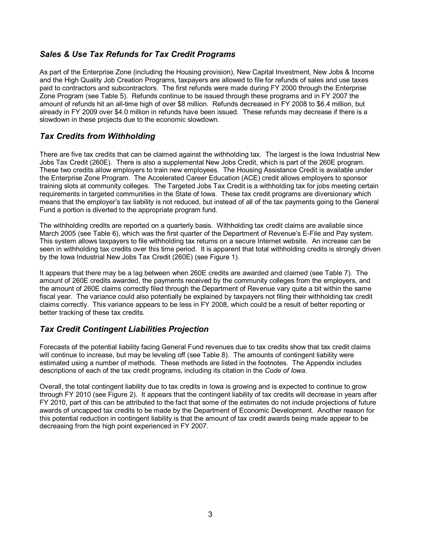#### *Sales & Use Tax Refunds for Tax Credit Programs*

As part of the Enterprise Zone (including the Housing provision), New Capital Investment, New Jobs & Income and the High Quality Job Creation Programs, taxpayers are allowed to file for refunds of sales and use taxes paid to contractors and subcontractors. The first refunds were made during FY 2000 through the Enterprise Zone Program (see Table 5). Refunds continue to be issued through these programs and in FY 2007 the amount of refunds hit an all-time high of over \$8 million. Refunds decreased in FY 2008 to \$6.4 million, but already in FY 2009 over \$4.0 million in refunds have been issued. These refunds may decrease if there is a slowdown in these projects due to the economic slowdown.

#### *Tax Credits from Withholding*

There are five tax credits that can be claimed against the withholding tax. The largest is the Iowa Industrial New Jobs Tax Credit (260E). There is also a supplemental New Jobs Credit, which is part of the 260E program. These two credits allow employers to train new employees. The Housing Assistance Credit is available under the Enterprise Zone Program. The Accelerated Career Education (ACE) credit allows employers to sponsor training slots at community colleges. The Targeted Jobs Tax Credit is a withholding tax for jobs meeting certain requirements in targeted communities in the State of Iowa. These tax credit programs are diversionary which means that the employer's tax liability is not reduced, but instead of all of the tax payments going to the General Fund a portion is diverted to the appropriate program fund.

The withholding credits are reported on a quarterly basis. Withholding tax credit claims are available since March 2005 (see Table 6), which was the first quarter of the Department of Revenue's E-File and Pay system. This system allows taxpayers to file withholding tax returns on a secure Internet website. An increase can be seen in withholding tax credits over this time period. It is apparent that total withholding credits is strongly driven by the Iowa Industrial New Jobs Tax Credit (260E) (see Figure 1).

It appears that there may be a lag between when 260E credits are awarded and claimed (see Table 7). The amount of 260E credits awarded, the payments received by the community colleges from the employers, and the amount of 260E claims correctly filed through the Department of Revenue vary quite a bit within the same fiscal year. The variance could also potentially be explained by taxpayers not filing their withholding tax credit claims correctly. This variance appears to be less in FY 2008, which could be a result of better reporting or better tracking of these tax credits.

#### *Tax Credit Contingent Liabilities Projection*

Forecasts of the potential liability facing General Fund revenues due to tax credits show that tax credit claims will continue to increase, but may be leveling off (see Table 8). The amounts of contingent liability were estimated using a number of methods. These methods are listed in the footnotes. The Appendix includes descriptions of each of the tax credit programs, including its citation in the *Code of Iowa*.

Overall, the total contingent liability due to tax credits in Iowa is growing and is expected to continue to grow through FY 2010 (see Figure 2). It appears that the contingent liability of tax credits will decrease in years after FY 2010, part of this can be attributed to the fact that some of the estimates do not include projections of future awards of uncapped tax credits to be made by the Department of Economic Development. Another reason for this potential reduction in contingent liability is that the amount of tax credit awards being made appear to be decreasing from the high point experienced in FY 2007.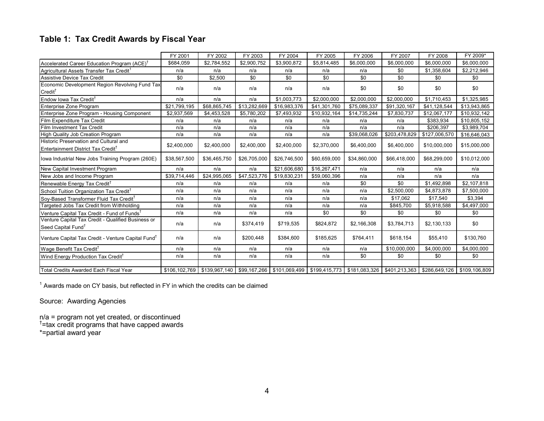#### **Table 1: Tax Credit Awards by Fiscal Year**

|                                                                                          | FY 2001       | FY 2002      | FY 2003      | FY 2004                                                                      | FY 2005      | FY 2006      | FY 2007                     | FY 2008       | FY 2009*      |
|------------------------------------------------------------------------------------------|---------------|--------------|--------------|------------------------------------------------------------------------------|--------------|--------------|-----------------------------|---------------|---------------|
| Accelerated Career Education Program (ACE) <sup>1</sup>                                  | \$684,059     | \$2,784,552  | \$2,900,752  | \$3,900,872                                                                  | \$5,814,485  | \$6,000,000  | \$6,000,000                 | \$6,000,000   | \$6,000,000   |
| Agricultural Assets Transfer Tax Credit <sup>1</sup>                                     | n/a           | n/a          | n/a          | n/a                                                                          | n/a          | n/a          | \$0                         | \$1,358,604   | \$2,212,946   |
| Assistive Device Tax Credit                                                              | \$0           | \$2,500      | \$0          | \$0                                                                          | \$0          | \$0          | \$0                         | \$0           | \$0           |
| Economic Development Region Revolving Fund Tax<br>$Credit^{\dagger}$                     | n/a           | n/a          | n/a          | n/a                                                                          | n/a          | \$0          | \$0                         | \$0           | \$0           |
| Endow Iowa Tax Credit <sup>T</sup>                                                       | n/a           | n/a          | n/a          | \$1,003,773                                                                  | \$2,000,000  | \$2,000,000  | \$2,000,000                 | \$1,710,453   | \$1,325,985   |
| Enterprise Zone Program                                                                  | \$21,799,195  | \$68,865,745 | \$13,282,669 | \$16,983,376                                                                 | \$41,301,760 | \$75,089,337 | \$91,320,167                | \$41,128,544  | \$13,943,865  |
| Enterprise Zone Program - Housing Component                                              | \$2,937,569   | \$4,453,528  | \$5,780,202  | \$7,493,932                                                                  | \$10,932,164 | \$14,735,244 | \$7,830,737                 | \$12,067,177  | \$10,932,142  |
| Film Expenditure Tax Credit                                                              | n/a           | n/a          | n/a          | n/a                                                                          | n/a          | n/a          | n/a                         | \$383,934     | \$10,805,152  |
| Film Investment Tax Credit                                                               | n/a           | n/a          | n/a          | n/a                                                                          | n/a          | n/a          | n/a                         | \$206,397     | \$3,989,704   |
| <b>High Quality Job Creation Program</b>                                                 | n/a           | n/a          | n/a          | n/a                                                                          | n/a          | \$39,068,026 | \$203,478,829               | \$127,006,570 | \$16,646,043  |
| Historic Preservation and Cultural and<br>Entertainment District Tax Credit <sup>T</sup> | \$2,400,000   | \$2,400,000  | \$2,400,000  | \$2,400,000                                                                  | \$2,370,000  | \$6,400,000  | \$6,400,000                 | \$10,000,000  | \$15,000,000  |
| Iowa Industrial New Jobs Training Program (260E)                                         | \$38,567,500  | \$36,465,750 | \$26,705,000 | \$26,746,500                                                                 | \$60,659,000 | \$34,860,000 | \$66,418,000                | \$68,299,000  | \$10,012,000  |
| New Capital Investment Program                                                           | n/a           | n/a          | n/a          | \$21,606,680                                                                 | \$16,267,471 | n/a          | n/a                         | n/a           | n/a           |
| New Jobs and Income Program                                                              | \$39,714,446  | \$24,995,065 | \$47,523,776 | \$19,830,231                                                                 | \$59,060,396 | n/a          | n/a                         | n/a           | n/a           |
| Renewable Energy Tax Credit <sup>T</sup>                                                 | n/a           | n/a          | n/a          | n/a                                                                          | n/a          | \$0          | \$0                         | \$1,492,898   | \$2,107,818   |
| School Tuition Organization Tax Credit <sup>†</sup>                                      | n/a           | n/a          | n/a          | n/a                                                                          | n/a          | n/a          | \$2,500,000                 | \$4,873,878   | \$7,500,000   |
| Soy-Based Transformer Fluid Tax Credit <sup>†</sup>                                      | n/a           | n/a          | n/a          | n/a                                                                          | n/a          | n/a          | \$17,062                    | \$17,540      | \$3,394       |
| Targeted Jobs Tax Credit from Withholding                                                | n/a           | n/a          | n/a          | n/a                                                                          | n/a          | n/a          | \$845,700                   | \$5,918,588   | \$4,497,000   |
| Venture Capital Tax Credit - Fund of Funds <sup>T</sup>                                  | n/a           | n/a          | n/a          | n/a                                                                          | \$0          | \$0          | \$0                         | \$0           | \$0           |
| Venture Capital Tax Credit - Qualified Business or<br>Seed Capital Fund <sup>T</sup>     | n/a           | n/a          | \$374,419    | \$719,535                                                                    | \$824,872    | \$2,166,308  | \$3,784,713                 | \$2,130,133   | \$0           |
| Venture Capital Tax Credit - Venture Capital Fund <sup>T</sup>                           | n/a           | n/a          | \$200,448    | \$384,600                                                                    | \$185,625    | \$764,411    | \$618,154                   | \$55,410      | \$130,760     |
| Wage Benefit Tax Credit <sup>†</sup>                                                     | n/a           | n/a          | n/a          | n/a                                                                          | n/a          | n/a          | \$10,000,000                | \$4,000,000   | \$4,000,000   |
| Wind Energy Production Tax Credit <sup>T</sup>                                           | n/a           | n/a          | n/a          | n/a                                                                          | n/a          | \$0          | \$0                         | \$0           | \$0           |
| Total Credits Awarded Each Fiscal Year                                                   | \$106,102,769 |              |              | \$139,967,140   \$99,167,266   \$101,069,499   \$199,415,773   \$181,083,326 |              |              | \$401,213,363 \$286,649,126 |               | \$109,106,809 |
|                                                                                          |               |              |              |                                                                              |              |              |                             |               |               |

 $1$  Awards made on CY basis, but reflected in FY in which the credits can be claimed

Source: Awarding Agencies

n/a = program not yet created, or discontinued<br><sup>†</sup>=tax credit programs that have capped awards

\*=partial award year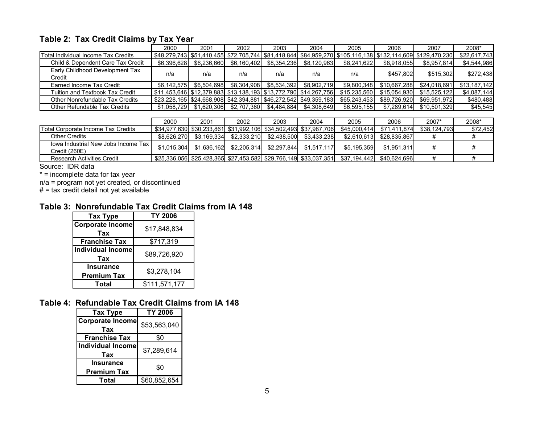#### **Table 2: Tax Credit Claims by Tax Year**

|                                           | 2000        | 2001                                                                     | 2002         | 2003        | 2004        | 2005         | 2006         | 2007                                                                                                              | 2008*        |
|-------------------------------------------|-------------|--------------------------------------------------------------------------|--------------|-------------|-------------|--------------|--------------|-------------------------------------------------------------------------------------------------------------------|--------------|
| Total Individual Income Tax Credits       |             |                                                                          |              |             |             |              |              | \$48,279,743  \$51,410,455  \$72,705,744  \$81,418,844  \$84,959,270  \$105,116,138  \$132,114,609  \$129,470,230 | \$22,617,743 |
| Child & Dependent Care Tax Credit         | \$6,396,628 | \$6.236.660                                                              | \$6,160,402  | \$8,354,236 | \$8,120,963 | \$8.241.622  | \$8.918.055  | \$8,957,814                                                                                                       | \$4,544,986  |
| Early Childhood Development Tax<br>Credit | n/a         | n/a                                                                      | n/a          | n/a         | n/a         | n/a          | \$457.802    | \$515.302                                                                                                         | \$272,438    |
| Earned Income Tax Credit                  | \$6.142.575 | \$6.504.698L                                                             | \$8.304.908  | \$8.534.392 | \$8.902.719 | \$9.800.348  | \$10.667.288 | \$24,018,691                                                                                                      | \$13,187,142 |
| Tuition and Textbook Tax Credit           |             | \$11,453,646   \$12,379,883   \$13,138,193   \$13,772,790   \$14,267,756 |              |             |             | \$15.235.560 | \$15,054,930 | \$15,525,122                                                                                                      | \$4,087,144] |
| Other Nonrefundable Tax Credits           |             | \$23,228,165 \$24,668,908 \$42,394,881 \$46,272,542 \$49,359,183         |              |             |             | \$65,243,453 | \$89.726.920 | \$69,951,972                                                                                                      | \$480,488    |
| Other Refundable Tax Credits              | \$1.058.729 | \$1.620.306I                                                             | \$2,707,360┃ | \$4,484,884 | \$4,308,649 | \$6,595,155  | \$7.289.614  | \$10.501.329                                                                                                      | \$45,545     |

|                                                        | 2000        | 2001        | 2002 | 2003                    | 2004                                                                 | 2005                                                                                             | 2006                     | $2007*$      | 2008*    |
|--------------------------------------------------------|-------------|-------------|------|-------------------------|----------------------------------------------------------------------|--------------------------------------------------------------------------------------------------|--------------------------|--------------|----------|
| Total Corporate Income Tax Credits                     |             |             |      |                         | \$34,977,630  \$30,233,861  \$31,992,106  \$34,502,493  \$37,987,706 | \$45.000.414                                                                                     | \$71.411.874             | \$38.124.793 | \$72.452 |
| <b>Other Credits</b>                                   | \$8.626.270 | \$3,169,334 |      | \$2,333,210 \$2,438,500 | \$3,433,238                                                          |                                                                                                  | \$2.610.613 \$28.835.867 |              |          |
| lowa Industrial New Jobs Income Tax I<br>Credit (260E) | \$1.015.304 |             |      |                         | $$1,636,162$ $$2,205,314$ $$2,297,844$ $$1,517,117$                  | \$5.195.359                                                                                      | \$1.951.311              |              |          |
| <b>Research Activities Credit</b>                      |             |             |      |                         |                                                                      | <sup>1</sup> \$25,336,056  \$25,428,365  \$27,453,582  \$29,766,149  \$33,037,351   \$37,194,442 | \$40.624.696             |              |          |

Source: IDR data

\* = incomplete data for tax year

n/a = program not yet created, or discontinued

# = tax credit detail not yet available

#### **Table 3: Nonrefundable Tax Credit Claims from IA 148**

| <b>Tax Type</b>         | <b>TY 2006</b> |
|-------------------------|----------------|
| <b>Corporate Income</b> | \$17,848,834   |
| Tax                     |                |
| <b>Franchise Tax</b>    | \$717,319      |
| Individual Income       | \$89,726,920   |
| Tax                     |                |
| <b>Insurance</b>        | \$3,278,104    |
| <b>Premium Tax</b>      |                |
| Total                   | \$111,571,177  |

#### **Table 4: Refundable Tax Credit Claims from IA 148**

| <b>Tax Type</b>                 | <b>TY 2006</b> |
|---------------------------------|----------------|
| <b>Corporate Income</b><br>Tax  | \$53,563,040   |
| <b>Franchise Tax</b>            | \$0            |
| <b>Individual Income</b><br>Tax | \$7,289,614    |
| Insurance<br><b>Premium Tax</b> | \$0            |
| Total                           | \$60,852,654   |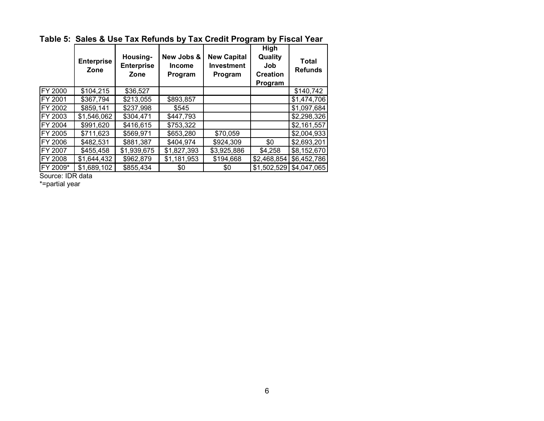|          | <b>Enterprise</b><br>Zone | Housing-<br><b>Enterprise</b><br>Zone | New Jobs &<br><b>Income</b><br>Program | <b>New Capital</b><br><b>Investment</b><br>Program | High<br>Quality<br>Job<br><b>Creation</b><br>Program | Total<br><b>Refunds</b> |
|----------|---------------------------|---------------------------------------|----------------------------------------|----------------------------------------------------|------------------------------------------------------|-------------------------|
| FY 2000  | \$104,215                 | \$36,527                              |                                        |                                                    |                                                      | \$140,742               |
| FY 2001  | \$367,794                 | \$213,055                             | \$893,857                              |                                                    |                                                      | \$1,474,706             |
| FY 2002  | \$859,141                 | \$237,998                             | \$545                                  |                                                    |                                                      | \$1,097,684             |
| FY 2003  | \$1,546,062               | \$304,471                             | \$447,793                              |                                                    |                                                      | \$2,298,326             |
| FY 2004  | \$991,620                 | \$416,615                             | \$753,322                              |                                                    |                                                      | \$2,161,557             |
| FY 2005  | \$711,623                 | \$569,971                             | \$653,280                              | \$70,059                                           |                                                      | \$2,004,933             |
| FY 2006  | \$482,531                 | \$881,387                             | \$404,974                              | \$924,309                                          | \$0                                                  | \$2,693,201             |
| FY 2007  | \$455,458                 | \$1,939,675                           | \$1,827,393                            | \$3,925,886                                        | \$4,258                                              | \$8,152,670             |
| FY 2008  | \$1,644,432               | \$962,879                             | \$1,181,953                            | \$194,668                                          | \$2,468,854                                          | \$6,452,786             |
| FY 2009* | \$1,689,102               | \$855,434                             | \$0                                    | \$0                                                | \$1,502,529                                          | \$4,047,065             |

**Table 5: Sales & Use Tax Refunds by Tax Credit Program by Fiscal Year** 

Source: IDR data

\*=partial year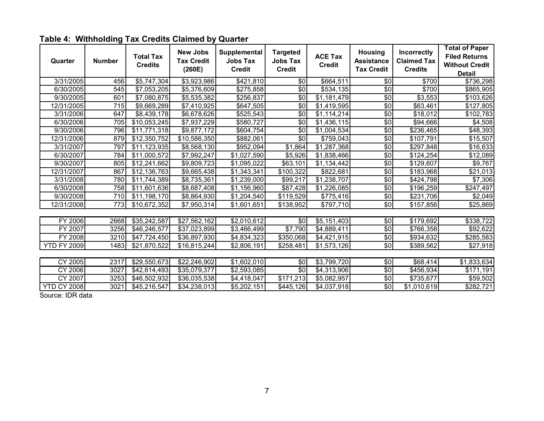| Quarter                                | <b>Number</b> | <b>Total Tax</b><br><b>Credits</b> | <b>New Jobs</b><br><b>Tax Credit</b><br>(260E) | Supplemental<br><b>Jobs Tax</b><br><b>Credit</b> | <b>Targeted</b><br><b>Jobs Tax</b><br><b>Credit</b> | <b>ACE Tax</b><br><b>Credit</b> | <b>Housing</b><br><b>Assistance</b><br><b>Tax Credit</b> | Incorrectly<br><b>Claimed Tax</b><br><b>Credits</b> | <b>Total of Paper</b><br><b>Filed Returns</b><br><b>Without Credit</b><br><b>Detail</b> |
|----------------------------------------|---------------|------------------------------------|------------------------------------------------|--------------------------------------------------|-----------------------------------------------------|---------------------------------|----------------------------------------------------------|-----------------------------------------------------|-----------------------------------------------------------------------------------------|
| 3/31/2005                              | 456           | \$5,747,304                        | \$3,923,986                                    | \$421,810                                        | \$0                                                 | \$664,511                       | \$0                                                      | \$700                                               | \$736,298                                                                               |
| 6/30/2005                              | 545           | \$7,053,205                        | \$5,376,609                                    | \$275,858                                        | \$0                                                 | \$534,135                       | $\sqrt{6}$                                               | \$700                                               | \$865,905                                                                               |
| $\overline{9/30/2005}$                 | 601           | \$7,080,875                        | \$5,535,382                                    | \$256,837                                        | \$0                                                 | \$1,181,479                     | $\frac{6}{3}$                                            | \$3,553                                             | \$103,626                                                                               |
| 12/31/2005                             | 715           | \$9,669,289                        | \$7,410,925                                    | \$647,505                                        | \$0                                                 | \$1,419,595                     | \$0                                                      | \$63,461                                            | \$127,805                                                                               |
| 3/31/2006                              | 647           | \$8,439,178                        | \$6,678,626                                    | \$525,543                                        | \$0                                                 | \$1,114,214                     | $\frac{6}{3}$                                            | \$18,012                                            | \$102,783                                                                               |
| 6/30/2006                              | 705           | \$10,053,245                       | \$7,937,229                                    | \$580,727                                        | \$0                                                 | \$1,436,115                     | \$0                                                      | \$94,666                                            | \$4,508                                                                                 |
| 9/30/2006                              | 796           | \$11,771,318                       | \$9,877,172                                    | \$604,754                                        | $\overline{30}$                                     | \$1,004,534                     | $\overline{50}$                                          | \$236,465                                           | \$48,393                                                                                |
| 12/31/2006                             | 879           | \$12,350,752                       | \$10,586,350                                   | \$882,061                                        | \$0                                                 | \$759,043                       | \$0                                                      | \$107,791                                           | \$15,507                                                                                |
| 3/31/2007                              | 797           | \$11,123,935                       | \$8,568,130                                    | \$952,094                                        | \$1,864                                             | \$1,287,368                     | $\overline{50}$                                          | \$297,848                                           | \$16,633                                                                                |
| 6/30/2007                              | 784           | $\overline{$11,000,572}$           | \$7,992,247                                    | \$1,027,590                                      | \$5,926                                             | \$1,838,466                     | \$0                                                      | \$124,254                                           | \$12,089                                                                                |
| 9/30/2007                              | 805           | \$12,241,662                       | \$9,809,723                                    | \$1,095,022                                      | \$63,101                                            | \$1,134,442                     | $\sqrt{6}$                                               | \$129,607                                           | \$9,767                                                                                 |
| 12/31/2007                             | 867           | \$12,136,763                       | \$9,665,438                                    | \$1,343,341                                      | \$100,322                                           | \$822,681                       | $\sqrt{6}$                                               | \$183,968                                           | $\sqrt{$21,013}$                                                                        |
| 3/31/2008                              | 780           | \$11,744,389                       | \$8,735,361                                    | \$1,239,000                                      | \$99,217                                            | \$1,238,707                     | $\sqrt{6}$                                               | \$424,798                                           | \$7,306                                                                                 |
| 6/30/2008                              | 758           | \$11,601,636                       | \$8,687,408                                    | \$1,156,960                                      | $\sqrt{$87,428}$                                    | \$1,226,085                     | \$0                                                      | \$196,259                                           | \$247,497                                                                               |
| 9/30/2008                              | 710           | \$11,198,170                       | \$8,864,930                                    | \$1,204,540                                      | \$119,529                                           | \$775,416                       | \$0                                                      | \$231,706                                           | \$2,049                                                                                 |
| 12/31/2008                             | 773           | \$10,672,352                       | \$7,950,314                                    | \$1,601,651                                      | \$138,952                                           | \$797,710                       | \$0                                                      | \$157,856                                           | \$25,869                                                                                |
|                                        |               |                                    |                                                |                                                  |                                                     |                                 |                                                          |                                                     |                                                                                         |
| FY 2006                                | 2668          | \$35,242,587                       | \$27,562,162                                   | \$2,010,612                                      | \$0                                                 | \$5,151,403                     | \$0                                                      | \$179,692                                           | \$338,722                                                                               |
| FY 2007                                | 3256          | \$46,246,577                       | \$37,023,899                                   | \$3,466,499                                      | \$7,790                                             | $\overline{84,889,411}$         | $\sqrt{6}$                                               | \$766,358                                           | \$92,622                                                                                |
| FY 2008                                | 3210          | \$47,724,450                       | \$36,897,930                                   | \$4,834,323                                      | \$350,068                                           | \$4,421,915                     | \$0                                                      | \$934,632                                           | \$285,583                                                                               |
| <b>YTD FY 2009</b>                     | 1483          | \$21,870,522                       | \$16,815,244                                   | \$2,806,191                                      | \$258,481                                           | \$1,573,126                     | \$0                                                      | \$389,562                                           | \$27,918                                                                                |
|                                        |               |                                    |                                                |                                                  |                                                     |                                 |                                                          |                                                     |                                                                                         |
| CY 2005                                | 2317          | \$29,550,673                       | \$22,246,902                                   | \$1,602,010                                      | \$0                                                 | \$3,799,720                     | \$0                                                      | \$68,414                                            | \$1,833,634                                                                             |
| CY 2006                                | 3027          | \$42,614,493                       | \$35,079,377                                   | \$2,593,085                                      | \$0                                                 | \$4,313,906                     | \$0                                                      | \$456,934                                           | \$171,191                                                                               |
| CY 2007                                | 3253          | \$46,502,932                       | \$36,035,538                                   | \$4,418,047                                      | \$171,213                                           | \$5,082,957                     | \$0                                                      | \$735,677                                           | \$59,502                                                                                |
| <b>YTD CY 2008</b><br>Source: IDD data | 3021          | \$45,216,547                       | \$34,238,013                                   | $\overline{$}5,202,151$                          | \$445,126                                           | \$4,037,918                     | $\overline{50}$                                          | \$1,010,619                                         | \$282,721                                                                               |

## **Table 4: Withholding Tax Credits Claimed by Quarter**

Source: IDR data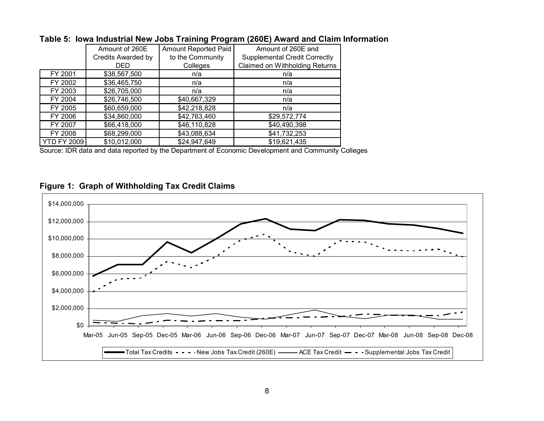|                    | Amount of 260E            | Amount Reported Paid | Amount of 260E and                   |
|--------------------|---------------------------|----------------------|--------------------------------------|
|                    | <b>Credits Awarded by</b> | to the Community     | <b>Supplemental Credit Correctly</b> |
|                    | DED                       | Colleges             | Claimed on Withholding Returns       |
| FY 2001            | \$38,567,500              | n/a                  | n/a                                  |
| FY 2002            | \$36,465,750              | n/a                  | n/a                                  |
| FY 2003            | \$26,705,000              | n/a                  | n/a                                  |
| FY 2004            | \$26,746,500              | \$40,667,329         | n/a                                  |
| FY 2005            | \$60,659,000              | \$42,218,828         | n/a                                  |
| FY 2006            | \$34,860,000              | \$42,763,460         | \$29,572,774                         |
| FY 2007            | \$66,418,000              | \$46,110,828         | \$40,490,398                         |
| FY 2008            | \$68,299,000              | \$43,088,634         | \$41,732,253                         |
| <b>YTD FY 2009</b> | \$10,012,000              | \$24,947,649         | \$19,621,435                         |

#### **Table 5: Iowa Industrial New Jobs Training Program (260E) Award and Claim Information**

Source: IDR data and data reported by the Department of Economic Development and Community Colleges

#### **Figure 1: Graph of Withholding Tax Credit Claims**

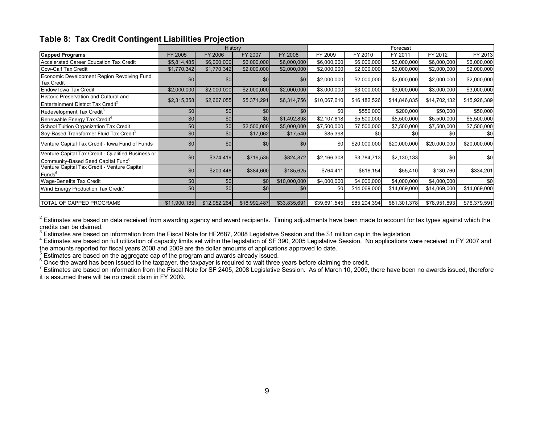#### **Table 8: Tax Credit Contingent Liabilities Projection**

|                                                                                                      |              | History      |              |              |              |              | Forecast     |                  |              |
|------------------------------------------------------------------------------------------------------|--------------|--------------|--------------|--------------|--------------|--------------|--------------|------------------|--------------|
| <b>Capped Programs</b>                                                                               | FY 2005      | FY 2006      | FY 2007      | FY 2008      | FY 2009      | FY 2010      | FY 2011      | FY 2012          | FY 2013      |
| Accelerated Career Education Tax Credit                                                              | \$5,814,485  | \$6,000,000  | \$6,000,000  | \$6,000,000  | \$6,000,000  | \$6,000,000  | \$6,000,000  | \$6,000,000      | \$6,000,000  |
| <b>Cow-Calf Tax Credit</b>                                                                           | \$1,770,342  | \$1,770,342  | \$2,000,000  | \$2,000,000  | \$2,000,000  | \$2,000,000  | \$2,000,000  | \$2,000,000      | \$2,000,000  |
| Economic Development Region Revolving Fund<br><b>Tax Credit</b>                                      | \$0          | \$0          | \$0          | \$0          | \$2,000,000  | \$2,000,000  | \$2,000,000  | \$2,000,000      | \$2,000,000  |
| Endow Iowa Tax Credit                                                                                | \$2,000,000  | \$2,000,000  | \$2,000,000  | \$2,000,000  | \$3,000,000  | \$3,000,000  | \$3,000,000  | \$3,000,000      | \$3,000,000  |
| Historic Preservation and Cultural and<br>Entertainment District Tax Credit                          | \$2,315,358  | \$2,607,055  | \$5,371,291  | \$6,314,756  | \$10,067,610 | \$16,182,526 | \$14,846,835 | \$14,702,132     | \$15,926,389 |
| Redevelopment Tax Credit <sup>3</sup>                                                                | \$0          | \$0          | \$0          | \$0          | \$0          | \$550,000    | \$200,000    | \$50,000         | \$50,000     |
| Renewable Energy Tax Credit <sup>4</sup>                                                             | \$0          | \$0          | \$0          | \$1,492,898  | \$2,107,818  | \$5,500,000  | \$5,500,000  | \$5,500,000      | \$5,500,000  |
| School Tuition Organization Tax Credit                                                               | \$0          | \$0          | \$2,500,000  | \$5,000,000  | \$7,500,000  | \$7,500,000  | \$7,500,000  | \$7,500,000      | \$7,500,000  |
| Soy-Based Transformer Fluid Tax Credit <sup>5</sup>                                                  | \$0          | \$0          | \$17,062     | \$17,540     | \$85,398     | \$0          | \$0          | \$0 <sub>1</sub> | \$0          |
| Venture Capital Tax Credit - Iowa Fund of Funds                                                      | \$0          | \$0          | \$0          | \$0          | \$0          | \$20,000,000 | \$20,000,000 | \$20,000,000     | \$20,000,000 |
| Venture Capital Tax Credit - Qualified Business or<br>Community-Based Seed Capital Fund <sup>6</sup> | \$0          | \$374,419    | \$719,535    | \$824,872    | \$2,166,308  | \$3,784,713  | \$2,130,133  | \$0              | \$0          |
| Venture Capital Tax Credit - Venture Capital<br>Funds <sup>6</sup>                                   | \$0          | \$200,448    | \$384,600    | \$185,625    | \$764,411    | \$618,154    | \$55,410     | \$130,760        | \$334,201    |
| Wage-Benefits Tax Credit                                                                             | \$0          | \$0          | \$0          | \$10,000,000 | \$4,000,000  | \$4,000,000  | \$4,000,000  | \$4,000,000      | \$0          |
| Wind Energy Production Tax Credit <sup>7</sup>                                                       | \$0          | \$0          | \$0          | \$0          | \$0          | \$14,069,000 | \$14,069,000 | \$14,069,000     | \$14,069,000 |
|                                                                                                      |              |              |              |              |              |              |              |                  |              |
| TOTAL OF CAPPED PROGRAMS                                                                             | \$11,900,185 | \$12,952,264 | \$18,992,487 | \$33,835,691 | \$39,691,545 | \$85,204,394 | \$81,301,378 | \$78,951,893     | \$76,379,591 |

<sup>2</sup> Estimates are based on data received from awarding agency and award recipients. Timing adjustments have been made to account for tax types against which the credits can be claimed.

 $^3$  Estimates are based on information from the Fiscal Note for HF2687, 2008 Legislative Session and the \$1 million cap in the legislation.<br>  $^4$  Estimates are based on full utilization of capacity limits set within the

<sup>5</sup> Estimates are based on the aggregate cap of the program and awards already issued.<br><sup>6</sup> Once the award has been issued to the taxpayer, the taxpayer is required to wait three years before claiming the credit.<br><sup>6</sup> Once t it is assumed there will be no credit claim in FY 2009.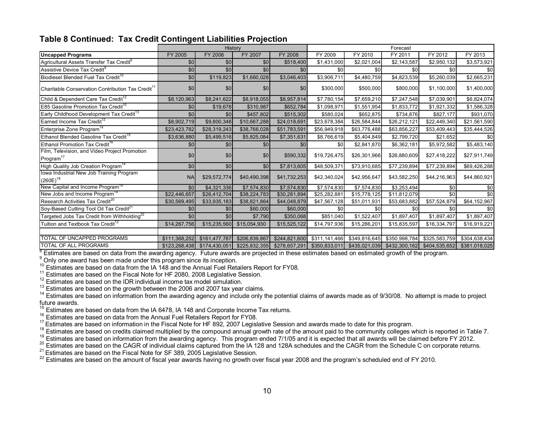| Table 8 Continued: Tax Credit Contingent Liabilities Projection |  |  |
|-----------------------------------------------------------------|--|--|
|-----------------------------------------------------------------|--|--|

|                                                                        |               | History       |               |               | Forecast      |               |               |               |                 |
|------------------------------------------------------------------------|---------------|---------------|---------------|---------------|---------------|---------------|---------------|---------------|-----------------|
| <b>Uncapped Programs</b>                                               | FY 2005       | FY 2006       | FY 2007       | FY 2008       | FY 2009       | FY 2010       | FY 2011       | FY 2012       | FY 2013         |
| Agricultural Assets Transfer Tax Credit <sup>8</sup>                   | \$0           | \$0           | \$0           | \$518,400     | \$1,431,000   | \$2,021,004   | \$2,143,587   | \$2,950,132   | \$3,573,921     |
| Assistive Device Tax Credit <sup>9</sup>                               | \$0           | \$0           | \$0           | \$0           | \$0           | \$0           | \$0           | \$0           | \$0             |
| Biodiesel Blended Fuel Tax Credit <sup>10</sup>                        | \$0           | \$119,823     | \$1,660,028   | \$3,046,403   | \$3,906,711   | \$4,480,759   | \$4,823,539   | \$5,260,039   | \$2,665,231     |
| Charitable Conservation Contribution Tax Credit <sup>11</sup>          | \$0           | \$0           | \$0           | \$0           | \$300,000     | \$500,000     | \$800,000     | \$1,100,000   | \$1,400,000     |
| Child & Dependent Care Tax Credit <sup>12</sup>                        | \$8,120,963   | \$8,241,622   | \$8,918,055   | \$8,957,814   | \$7,780,154   | \$7,659,210   | \$7,247,548   | \$7,039,901   | \$6,824,074     |
| E85 Gasoline Promotion Tax Credit <sup>10</sup>                        | \$0           | \$19,678      | \$310,987     | \$652,784     | \$1,098,971   | \$1,551,954   | \$1,833,772   | \$1,921,332   | \$1,586,328     |
| Early Childhood Development Tax Credit <sup>13</sup>                   | \$0           | \$0           | \$457,802     | \$515,302     | \$580,024     | \$652,875     | \$734,876     | \$827,177     | \$931,070       |
| Earned Income Tax Credit <sup>12</sup>                                 | \$8,902,719   | \$9,800,348   | \$10,667,288  | \$24,018,691  | \$23,678,384  | \$26,584,844  | \$26,212,121  | \$22,449,340  | \$21,561,590    |
| Enterprise Zone Program <sup>14</sup>                                  | \$23,423,782  | \$28,319,243  | \$38,766,028  | \$51,783,591  | \$56,949,918  | \$63,776,488  | \$63,856,227  | \$53,409,443  | \$35,444,526    |
| Ethanol Blended Gasoline Tax Credit <sup>15</sup>                      | \$3,636,880   | \$5,499,516   | \$5,825,084   | \$7,351,631   | \$8,766,619   | \$5,404,849   | \$2,799,720   | \$21,652      | \$0             |
| Ethanol Promotion Tax Credit <sup>16</sup>                             | \$0           | \$0           | \$0           | \$0           | \$0           | \$2,841,870   | \$6,362,181   | \$5,972,582   | \$5,483,140     |
| Film, Television, and Video Project Promotion<br>Program <sup>17</sup> | \$0           | \$0           | \$0           | \$590,332     | \$19,726,475  | \$26,301,966  | \$26,880,609  | \$27,418,222  | \$27,911,749    |
| High Quality Job Creation Program <sup>14</sup>                        | \$0           | \$0           | \$0           | \$7,813,605   | \$48,509,371  | \$73,910,685  | \$77,239,894  | \$77,239,894  | \$69,426,288    |
| Iowa Industrial New Job Training Program<br>$(260E)^{18}$              | <b>NA</b>     | \$29,572,774  | \$40,490,398  | \$41,732,253  | \$42,340,024  | \$42,956,647  | \$43,582,250  | \$44,216,963  | \$44,860,921    |
| New Capital and Income Program <sup>19</sup>                           | \$0           | \$4,321,336   | \$7,574,830   | \$7,574,830   | \$7,574,830   | \$7,574,830   | \$3,253,494   | \$0           | \$0             |
| New Jobs and Income Program"                                           | \$22,446,657  | \$26,412,704  | \$38,224,783  | \$30,281,894  | \$25,282,881  | \$15,778,125  | \$11,812,079  | \$0           | $\overline{50}$ |
| Research Activities Tax Credit <sup>20</sup>                           | \$30,569,495  | \$33,935,183  | \$38,821,864  | \$44,048,879  | \$47,567,128  | \$51,011,931  | \$53,683,882  | \$57,524,879  | \$64,152,967    |
| Soy-Based Cutting Tool Oil Tax Credit <sup>21</sup>                    | \$0           | \$0           | \$60,000      | \$60,000      | \$0           | \$0           | \$0           | \$0           | \$0             |
| Targeted Jobs Tax Credit from Withholding <sup>22</sup>                | \$0           | \$0           | \$7,790       | \$350,068     | \$851,040     | \$1,522,407   | \$1,897,407   | \$1,897,407   | \$1,897,407     |
| Tuition and Textbook Tax Credit <sup>12</sup>                          | \$14,267,756  | \$15,235,560  | \$15,054,930  | \$15,525,122  | \$14,797,936  | \$15,286,201  | \$15,835,597  | \$16,334,797  | \$16,919,221    |
|                                                                        |               |               |               |               |               |               |               |               |                 |
| TOTAL OF UNCAPPED PROGRAMS                                             | \$111,368,252 | \$161,477,787 | \$206,839,867 | \$244,821,600 | \$311,141,466 | \$349,816,645 | \$350,998,784 | \$325,583,759 | \$304,638,434   |
| <b>TOTAL OF ALL PROGRAMS</b>                                           | \$123,268,438 | \$174,430,051 | \$225,832,355 | \$278,657,291 | \$350,833,011 | \$435,021,039 | \$432,300,162 | \$404,535,652 | \$381,018,025   |

Bestimates are based on data from the awarding agency. Future awards are projected in these estimates based on estimated growth of the program.<br>
<sup>9</sup> Only one award has been made under this program since its inception.<br>
<sup>10</sup>

<sup>12</sup> Estimates are based on the IDR individual income tax model simulation.

<sup>14</sup> Estimates are based on information from the awarding agency and include only the potential claims of awards made as of 9/30/08. No attempt is made to project future awards.

<sup>15</sup> Estimates are based on data from the IA 6478, IA 148 and Corporate Income Tax returns.

<sup>16</sup> Estimates are based on data from the Annual Fuel Retailers Report for FY08.<br><sup>17</sup> Estimates are based on information in the Fiscal Note for HF 892, 2007 Legislative Session and awards made to date for this program.<br><sup>1</sup>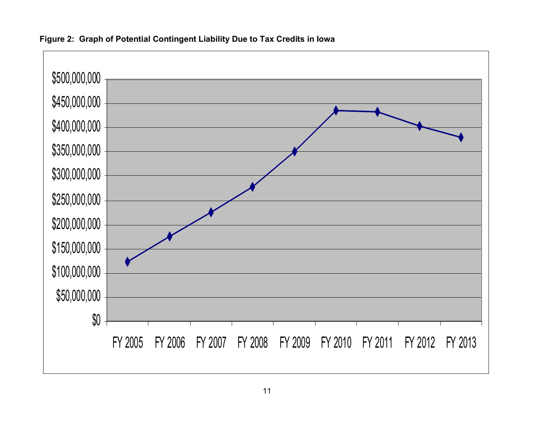

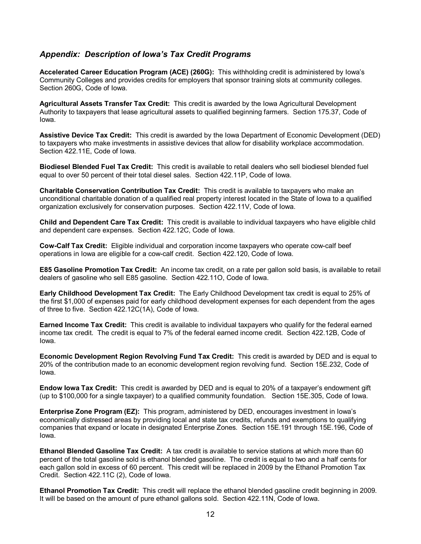#### *Appendix: Description of Iowa's Tax Credit Programs*

**Accelerated Career Education Program (ACE) (260G):** This withholding credit is administered by Iowa's Community Colleges and provides credits for employers that sponsor training slots at community colleges. Section 260G, Code of Iowa.

**Agricultural Assets Transfer Tax Credit:** This credit is awarded by the Iowa Agricultural Development Authority to taxpayers that lease agricultural assets to qualified beginning farmers. Section 175.37, Code of Iowa.

**Assistive Device Tax Credit:** This credit is awarded by the Iowa Department of Economic Development (DED) to taxpayers who make investments in assistive devices that allow for disability workplace accommodation. Section 422.11E, Code of Iowa.

**Biodiesel Blended Fuel Tax Credit:** This credit is available to retail dealers who sell biodiesel blended fuel equal to over 50 percent of their total diesel sales. Section 422.11P, Code of Iowa.

**Charitable Conservation Contribution Tax Credit:** This credit is available to taxpayers who make an unconditional charitable donation of a qualified real property interest located in the State of Iowa to a qualified organization exclusively for conservation purposes. Section 422.11V, Code of Iowa.

**Child and Dependent Care Tax Credit:** This credit is available to individual taxpayers who have eligible child and dependent care expenses. Section 422.12C, Code of Iowa.

**Cow-Calf Tax Credit:** Eligible individual and corporation income taxpayers who operate cow-calf beef operations in Iowa are eligible for a cow-calf credit. Section 422.120, Code of Iowa.

**E85 Gasoline Promotion Tax Credit:** An income tax credit, on a rate per gallon sold basis, is available to retail dealers of gasoline who sell E85 gasoline. Section 422.11O, Code of Iowa.

**Early Childhood Development Tax Credit:** The Early Childhood Development tax credit is equal to 25% of the first \$1,000 of expenses paid for early childhood development expenses for each dependent from the ages of three to five. Section 422.12C(1A), Code of Iowa.

**Earned Income Tax Credit:** This credit is available to individual taxpayers who qualify for the federal earned income tax credit. The credit is equal to 7% of the federal earned income credit. Section 422.12B, Code of Iowa.

**Economic Development Region Revolving Fund Tax Credit:** This credit is awarded by DED and is equal to 20% of the contribution made to an economic development region revolving fund. Section 15E.232, Code of Iowa.

**Endow Iowa Tax Credit:** This credit is awarded by DED and is equal to 20% of a taxpayer's endowment gift (up to \$100,000 for a single taxpayer) to a qualified community foundation. Section 15E.305, Code of Iowa.

**Enterprise Zone Program (EZ):** This program, administered by DED, encourages investment in Iowa's economically distressed areas by providing local and state tax credits, refunds and exemptions to qualifying companies that expand or locate in designated Enterprise Zones. Section 15E.191 through 15E.196, Code of Iowa.

**Ethanol Blended Gasoline Tax Credit:** A tax credit is available to service stations at which more than 60 percent of the total gasoline sold is ethanol blended gasoline. The credit is equal to two and a half cents for each gallon sold in excess of 60 percent. This credit will be replaced in 2009 by the Ethanol Promotion Tax Credit. Section 422.11C (2), Code of Iowa.

**Ethanol Promotion Tax Credit:** This credit will replace the ethanol blended gasoline credit beginning in 2009. It will be based on the amount of pure ethanol gallons sold. Section 422.11N, Code of Iowa.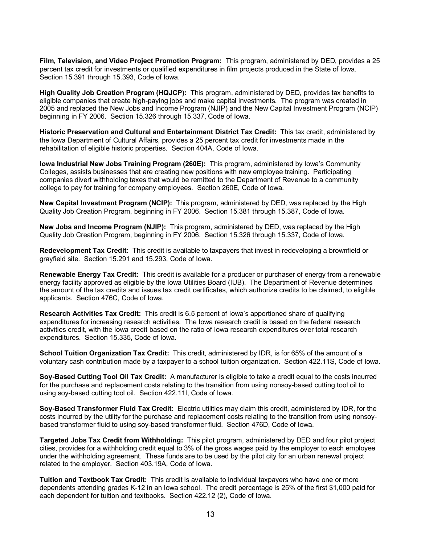**Film, Television, and Video Project Promotion Program:** This program, administered by DED, provides a 25 percent tax credit for investments or qualified expenditures in film projects produced in the State of Iowa. Section 15.391 through 15.393, Code of Iowa.

**High Quality Job Creation Program (HQJCP):** This program, administered by DED, provides tax benefits to eligible companies that create high-paying jobs and make capital investments. The program was created in 2005 and replaced the New Jobs and Income Program (NJIP) and the New Capital Investment Program (NCIP) beginning in FY 2006. Section 15.326 through 15.337, Code of Iowa.

**Historic Preservation and Cultural and Entertainment District Tax Credit:** This tax credit, administered by the Iowa Department of Cultural Affairs, provides a 25 percent tax credit for investments made in the rehabilitation of eligible historic properties. Section 404A, Code of Iowa.

**Iowa Industrial New Jobs Training Program (260E):** This program, administered by Iowa's Community Colleges, assists businesses that are creating new positions with new employee training. Participating companies divert withholding taxes that would be remitted to the Department of Revenue to a community college to pay for training for company employees. Section 260E, Code of Iowa.

**New Capital Investment Program (NCIP):** This program, administered by DED, was replaced by the High Quality Job Creation Program, beginning in FY 2006. Section 15.381 through 15.387, Code of Iowa.

**New Jobs and Income Program (NJIP):** This program, administered by DED, was replaced by the High Quality Job Creation Program, beginning in FY 2006. Section 15.326 through 15.337, Code of Iowa.

**Redevelopment Tax Credit:** This credit is available to taxpayers that invest in redeveloping a brownfield or grayfield site. Section 15.291 and 15.293, Code of Iowa.

**Renewable Energy Tax Credit:** This credit is available for a producer or purchaser of energy from a renewable energy facility approved as eligible by the Iowa Utilities Board (IUB). The Department of Revenue determines the amount of the tax credits and issues tax credit certificates, which authorize credits to be claimed, to eligible applicants. Section 476C, Code of Iowa.

**Research Activities Tax Credit:** This credit is 6.5 percent of Iowa's apportioned share of qualifying expenditures for increasing research activities. The Iowa research credit is based on the federal research activities credit, with the Iowa credit based on the ratio of Iowa research expenditures over total research expenditures. Section 15.335, Code of Iowa.

**School Tuition Organization Tax Credit:** This credit, administered by IDR, is for 65% of the amount of a voluntary cash contribution made by a taxpayer to a school tuition organization. Section 422.11S, Code of Iowa.

**Soy-Based Cutting Tool Oil Tax Credit:** A manufacturer is eligible to take a credit equal to the costs incurred for the purchase and replacement costs relating to the transition from using nonsoy-based cutting tool oil to using soy-based cutting tool oil. Section 422.11I, Code of Iowa.

**Soy-Based Transformer Fluid Tax Credit:** Electric utilities may claim this credit, administered by IDR, for the costs incurred by the utility for the purchase and replacement costs relating to the transition from using nonsoybased transformer fluid to using soy-based transformer fluid. Section 476D, Code of Iowa.

**Targeted Jobs Tax Credit from Withholding:** This pilot program, administered by DED and four pilot project cities, provides for a withholding credit equal to 3% of the gross wages paid by the employer to each employee under the withholding agreement. These funds are to be used by the pilot city for an urban renewal project related to the employer. Section 403.19A, Code of Iowa.

**Tuition and Textbook Tax Credit:** This credit is available to individual taxpayers who have one or more dependents attending grades K-12 in an Iowa school. The credit percentage is 25% of the first \$1,000 paid for each dependent for tuition and textbooks. Section 422.12 (2), Code of Iowa.